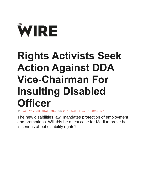

## **Rights Activists Seek Action Against DDA Vice-Chairman For Insulting Disabled Officer**

VEK BHATNAGAR ON [13/01/2017](https://thewire.in/99781/rights-activists-seek-action-dda-v-c-insulting-officer-disability/) • [LEAVE A COMMENT](https://thewire.in/99781/rights-activists-seek-action-dda-v-c-insulting-officer-disability/#disqus_thread)

The new disabilities law mandates protection of employment and promotions. Will this be a test case for Modi to prove he is serious about disability rights?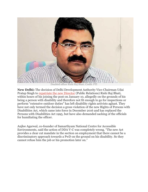

**New Delhi:** The decision of Delhi Development Authority Vice-Chairman Udai Pratap Singh to [repatriate the new Director](http://timesofindia.indiatimes.com/city/delhi/dda-shunts-official-over-disability/articleshow/56506573.cms) (Public Relations) Rishi Raj Bhati, within hours of his joining the post on January 10, allegedly on the grounds of his being a person with disability and therefore not fit enough to go for inspections or perform "extensive outdoor duties" has left disability rights activists aghast. They have not only termed the decision a gross violation of the new Rights of Persons with Disabilities Act, which came into force in December 2016 and has replaced the Persons with Disabilities Act 1995, but have also demanded sacking of the officials for humiliating the officer.

Anjlee Agarwal, co-founder of Samarthyam National Centre for Accessible Environments, said the action of DDA V-C was completely wrong. "The new Act provides a clear cut mandate in the section on employment that there cannot be a discriminatory approach towards a PwD on the ground on his disability. So they cannot refuse him the job or his promotion later on."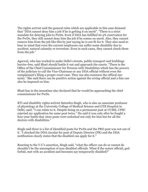The rights activist said the general rules which are applicable in this case demand that "DDA cannot deny him a job if he is getting it on merit". "There is a strict mandate for denying jobs to PwDs. Even if DDA has fulfilled its 4% reservation for the PwDs, they still cannot deny him the job if he comes on merit. Also, they cannot remove him from the job like this by just saying he is not fit for it. They also need to bear in mind that even the current employees can suffer some disability due to accident, natural calamity or terrorism. Even in such cases, they cannot chuck them from the job."

Agarwal, who has worked to make Delhi's streets, public transport and buildings barrier-free, said Bhati should battle it out and approach the courts. "There is the Office of the Chief Commissioner for Persons with Disabilities which has the powers of the judiciary to call the Vice-Chairman or any DDA official without even the complainant's filing a proper court case. They can also summon the offiical suo motu." She said there can be punitive action against the erring official and a fine can also be imposed on him.

Bhati has in the meantime also declared that he would be approaching the chief commissioner for PwDs.

RTI and disability rights activist Satendra Singh, who is also an associate professor of physiology at the University College of Medical Science and GTB Hospital in Delhi, said: "I can relate to it. Despite being on a permanent post at UCMS, UPSC rejected my application for same post twice." He said it was only after he fought a four-year battle that 1600 posts were unlocked not only for him but for all the doctors with disabilities."

Singh said there is a list of identified posts for PwDs and the PRO post was not out of it. "I checked the DDA circular for post of Deputy Director (PR) and the DDA notification clearly states that the disabled can apply for it."

Reacting to the V-C's assertion, Singh said, "what the officer can do or cannot do shouldn't be the assumption of non-disabled officials. What if the senior official, god forbid, met with an accident and becomes say temporarily disabled?"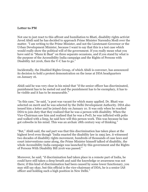## **Letter to PM**

Not one to just react to this affront and humiliation to Bhati, disability rights activist Javed Abidi said he has decided to approach Prime Minister Narendra Modi over the matter. "I am writing to the Prime Minister, and not the Lieutenant-Governor or the Urban Development Minister, because I want to say that this is a test case which would really show the political will of the government. If you really mean what you have said in "Mann ki Baat" on three separate occasions, and if you stand by what is the purpose of the Accessibility India campaign and the Rights of Persons with Disability Act 2016, then the V-C has to go."

Incidentally, the Disabled Rights Group, of which Abidi is convener, has announced its decision to hold a protest demonstration on the issue at DDA headquarters on January 16.

Abidi said he was very clear in his mind that "if the senior officer has discriminated, punishment has to be meted out and the punishment has to be exemplary, it has to be visible and it has to be measurable."

"In this case," he said, "a post was vacant for which many applied. Dr. Bhati was selected on merit and he was selected by the Delhi Development Authority. DDA also issued him a letter and he joined duty on January 10. It was only when he reached DDA to join duty that they realized that he was a person with disability. When the Vice-Chairman saw him and realised that he was a PwD, he was inflicted with polio and walked with a limp, he said how will this person work. This was because he has got cobwebs in his mind. This was an archaic 18th century way of thinking."

"But," Abidi said, the sad part was that this discrimination has taken place at the highest level even though "India enacted the disability law in 1995 law, it witnessed two decades of disability rights movement, hundreds of thousands of case laws and court interventions came along, the Prime Minister himself talked of disability, the whole Accessibility India campaign was launched by this government and the Rights of Persons With Disability Bill 2016 was passed."

Moreover, he said, "if discrimination had taken place in a remote part of India, he could have still taken a deep breath and said the knowledge or awareness was not there; if this kind of discrimination had been caused by some lower functionary, you may still say okay, but this official is the vice-chairman of DDA, he is a senior IAS officer and holding such a high position in New Delhi."